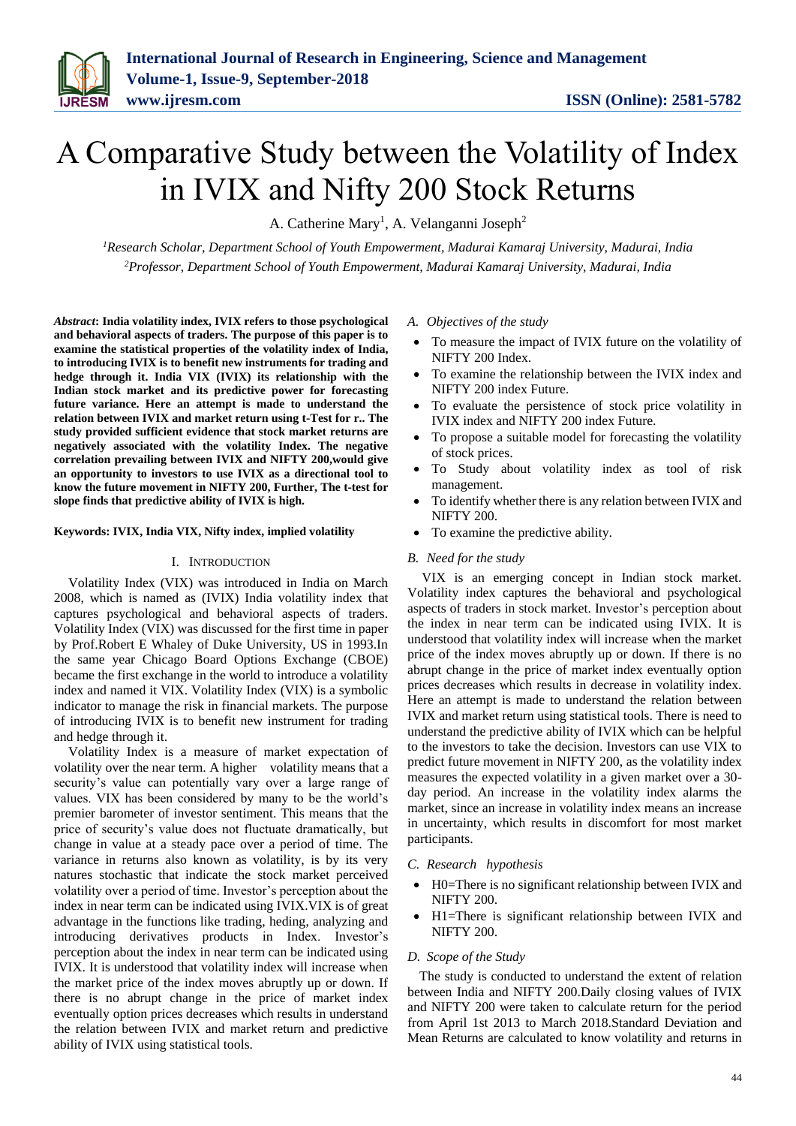# A Comparative Study between the Volatility of Index in IVIX and Nifty 200 Stock Returns

A. Catherine Mary<sup>1</sup>, A. Velanganni Joseph<sup>2</sup>

*<sup>1</sup>Research Scholar, Department School of Youth Empowerment, Madurai Kamaraj University, Madurai, India <sup>2</sup>Professor, Department School of Youth Empowerment, Madurai Kamaraj University, Madurai, India*

*Abstract***: India volatility index, IVIX refers to those psychological and behavioral aspects of traders. The purpose of this paper is to examine the statistical properties of the volatility index of India, to introducing IVIX is to benefit new instruments for trading and hedge through it. India VIX (IVIX) its relationship with the Indian stock market and its predictive power for forecasting future variance. Here an attempt is made to understand the relation between IVIX and market return using t-Test for r.. The study provided sufficient evidence that stock market returns are negatively associated with the volatility Index. The negative correlation prevailing between IVIX and NIFTY 200,would give an opportunity to investors to use IVIX as a directional tool to know the future movement in NIFTY 200, Further, The t-test for slope finds that predictive ability of IVIX is high.**

# **Keywords: IVIX, India VIX, Nifty index, implied volatility**

## I. INTRODUCTION

Volatility Index (VIX) was introduced in India on March 2008, which is named as (IVIX) India volatility index that captures psychological and behavioral aspects of traders. Volatility Index (VIX) was discussed for the first time in paper by Prof.Robert E Whaley of Duke University, US in 1993.In the same year Chicago Board Options Exchange (CBOE) became the first exchange in the world to introduce a volatility index and named it VIX. Volatility Index (VIX) is a symbolic indicator to manage the risk in financial markets. The purpose of introducing IVIX is to benefit new instrument for trading and hedge through it.

Volatility Index is a measure of market expectation of volatility over the near term. A higher volatility means that a security's value can potentially vary over a large range of values. VIX has been considered by many to be the world's premier barometer of investor sentiment. This means that the price of security's value does not fluctuate dramatically, but change in value at a steady pace over a period of time. The variance in returns also known as volatility, is by its very natures stochastic that indicate the stock market perceived volatility over a period of time. Investor's perception about the index in near term can be indicated using IVIX.VIX is of great advantage in the functions like trading, heding, analyzing and introducing derivatives products in Index. Investor's perception about the index in near term can be indicated using IVIX. It is understood that volatility index will increase when the market price of the index moves abruptly up or down. If there is no abrupt change in the price of market index eventually option prices decreases which results in understand the relation between IVIX and market return and predictive ability of IVIX using statistical tools.

#### *A. Objectives of the study*

- To measure the impact of IVIX future on the volatility of NIFTY 200 Index.
- To examine the relationship between the IVIX index and NIFTY 200 index Future.
- To evaluate the persistence of stock price volatility in IVIX index and NIFTY 200 index Future.
- To propose a suitable model for forecasting the volatility of stock prices.
- To Study about volatility index as tool of risk management.
- To identify whether there is any relation between IVIX and NIFTY 200.
- To examine the predictive ability.

## *B. Need for the study*

VIX is an emerging concept in Indian stock market. Volatility index captures the behavioral and psychological aspects of traders in stock market. Investor's perception about the index in near term can be indicated using IVIX. It is understood that volatility index will increase when the market price of the index moves abruptly up or down. If there is no abrupt change in the price of market index eventually option prices decreases which results in decrease in volatility index. Here an attempt is made to understand the relation between IVIX and market return using statistical tools. There is need to understand the predictive ability of IVIX which can be helpful to the investors to take the decision. Investors can use VIX to predict future movement in NIFTY 200, as the volatility index measures the expected volatility in a given market over a 30 day period. An increase in the volatility index alarms the market, since an increase in volatility index means an increase in uncertainty, which results in discomfort for most market participants.

- *C. Research hypothesis*
- H0=There is no significant relationship between IVIX and NIFTY 200.
- H1=There is significant relationship between IVIX and NIFTY 200.

#### *D. Scope of the Study*

The study is conducted to understand the extent of relation between India and NIFTY 200.Daily closing values of IVIX and NIFTY 200 were taken to calculate return for the period from April 1st 2013 to March 2018.Standard Deviation and Mean Returns are calculated to know volatility and returns in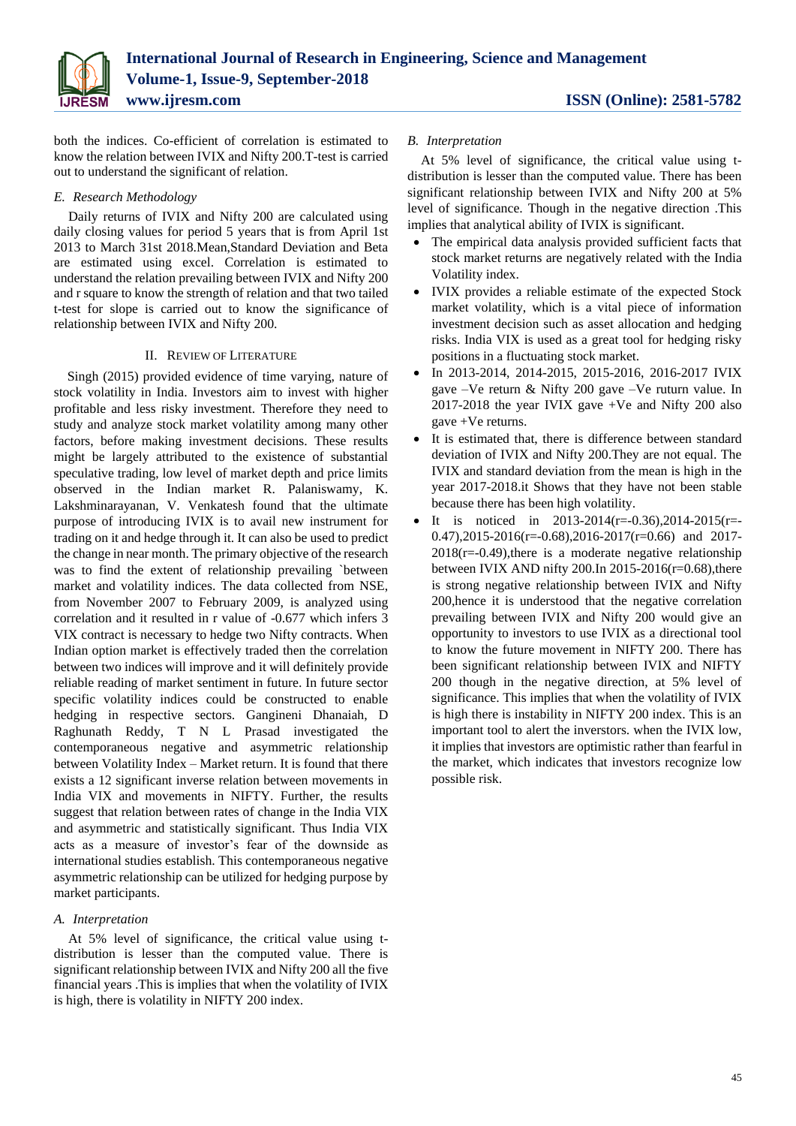

both the indices. Co-efficient of correlation is estimated to know the relation between IVIX and Nifty 200.T-test is carried out to understand the significant of relation.

# *E. Research Methodology*

Daily returns of IVIX and Nifty 200 are calculated using daily closing values for period 5 years that is from April 1st 2013 to March 31st 2018.Mean,Standard Deviation and Beta are estimated using excel. Correlation is estimated to understand the relation prevailing between IVIX and Nifty 200 and r square to know the strength of relation and that two tailed t-test for slope is carried out to know the significance of relationship between IVIX and Nifty 200.

# II. REVIEW OF LITERATURE

Singh (2015) provided evidence of time varying, nature of stock volatility in India. Investors aim to invest with higher profitable and less risky investment. Therefore they need to study and analyze stock market volatility among many other factors, before making investment decisions. These results might be largely attributed to the existence of substantial speculative trading, low level of market depth and price limits observed in the Indian market R. Palaniswamy, K. Lakshminarayanan, V. Venkatesh found that the ultimate purpose of introducing IVIX is to avail new instrument for trading on it and hedge through it. It can also be used to predict the change in near month. The primary objective of the research was to find the extent of relationship prevailing `between market and volatility indices. The data collected from NSE, from November 2007 to February 2009, is analyzed using correlation and it resulted in r value of -0.677 which infers 3 VIX contract is necessary to hedge two Nifty contracts. When Indian option market is effectively traded then the correlation between two indices will improve and it will definitely provide reliable reading of market sentiment in future. In future sector specific volatility indices could be constructed to enable hedging in respective sectors. Gangineni Dhanaiah, D Raghunath Reddy, T N L Prasad investigated the contemporaneous negative and asymmetric relationship between Volatility Index – Market return. It is found that there exists a 12 significant inverse relation between movements in India VIX and movements in NIFTY. Further, the results suggest that relation between rates of change in the India VIX and asymmetric and statistically significant. Thus India VIX acts as a measure of investor's fear of the downside as international studies establish. This contemporaneous negative asymmetric relationship can be utilized for hedging purpose by market participants.

# *A. Interpretation*

At 5% level of significance, the critical value using tdistribution is lesser than the computed value. There is significant relationship between IVIX and Nifty 200 all the five financial years .This is implies that when the volatility of IVIX is high, there is volatility in NIFTY 200 index.

# *B. Interpretation*

At 5% level of significance, the critical value using tdistribution is lesser than the computed value. There has been significant relationship between IVIX and Nifty 200 at 5% level of significance. Though in the negative direction .This implies that analytical ability of IVIX is significant.

- The empirical data analysis provided sufficient facts that stock market returns are negatively related with the India Volatility index.
- IVIX provides a reliable estimate of the expected Stock market volatility, which is a vital piece of information investment decision such as asset allocation and hedging risks. India VIX is used as a great tool for hedging risky positions in a fluctuating stock market.
- In 2013-2014, 2014-2015, 2015-2016, 2016-2017 IVIX gave –Ve return & Nifty 200 gave –Ve ruturn value. In 2017-2018 the year IVIX gave +Ve and Nifty 200 also gave +Ve returns.
- It is estimated that, there is difference between standard deviation of IVIX and Nifty 200.They are not equal. The IVIX and standard deviation from the mean is high in the year 2017-2018.it Shows that they have not been stable because there has been high volatility.
- It is noticed in  $2013-2014(r=-0.36)$ ,  $2014-2015(r=-0.36)$  $0.47$ ),2015-2016(r=-0.68),2016-2017(r=0.66) and 2017- $2018(r=-0.49)$ , there is a moderate negative relationship between IVIX AND nifty 200.In 2015-2016( $r=0.68$ ), there is strong negative relationship between IVIX and Nifty 200,hence it is understood that the negative correlation prevailing between IVIX and Nifty 200 would give an opportunity to investors to use IVIX as a directional tool to know the future movement in NIFTY 200. There has been significant relationship between IVIX and NIFTY 200 though in the negative direction, at 5% level of significance. This implies that when the volatility of IVIX is high there is instability in NIFTY 200 index. This is an important tool to alert the inverstors. when the IVIX low, it implies that investors are optimistic rather than fearful in the market, which indicates that investors recognize low possible risk.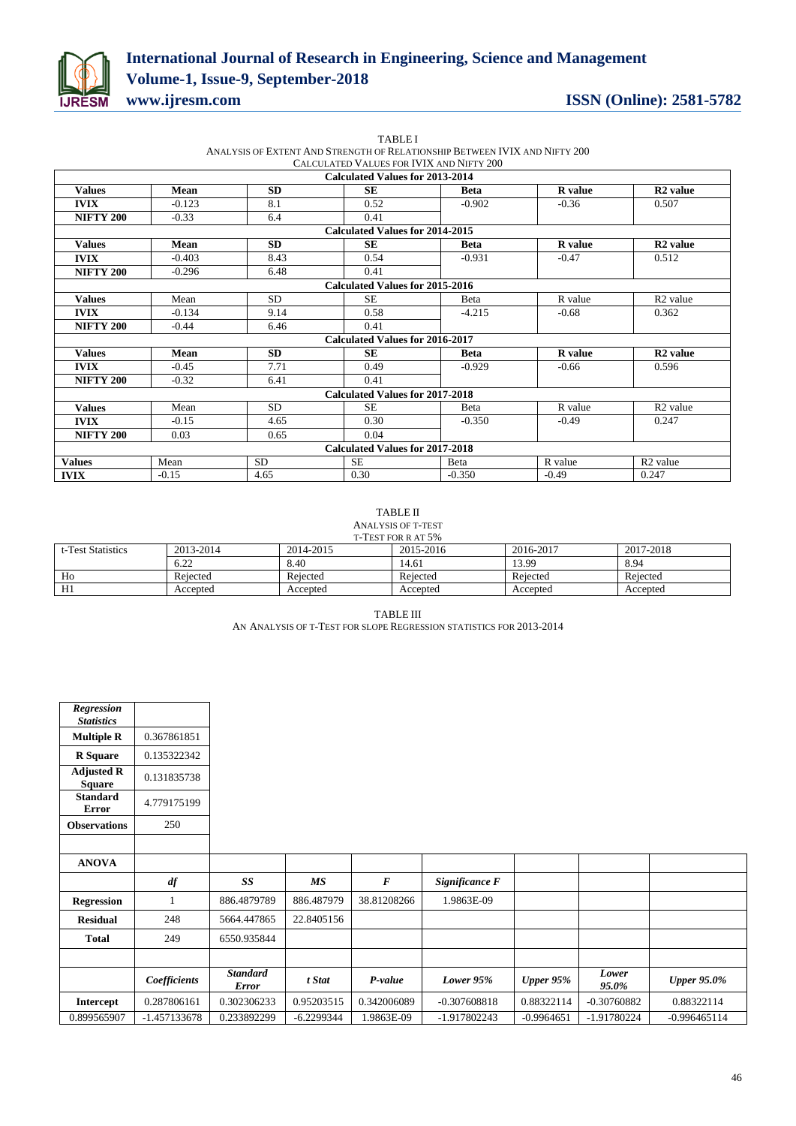

# **International Journal of Research in Engineering, Science and Management Volume-1, Issue-9, September-2018 www.ijresm.com ISSN (Online): 2581-5782**

|                  |          |           | ANALYSIS OF EXTENT AND STRENGTH OF RELATIONSHIP BETWEEN IVIX AND NIFTY 200 |              |                |                      |
|------------------|----------|-----------|----------------------------------------------------------------------------|--------------|----------------|----------------------|
|                  |          |           | CALCULATED VALUES FOR IVIX AND NIFTY 200                                   |              |                |                      |
|                  |          |           | <b>Calculated Values for 2013-2014</b>                                     |              |                |                      |
| <b>Values</b>    | Mean     | <b>SD</b> | SE                                                                         | <b>Beta</b>  | <b>R</b> value | R <sub>2</sub> value |
| <b>IVIX</b>      | $-0.123$ | 8.1       | 0.52                                                                       | $-0.902$     | $-0.36$        | 0.507                |
| <b>NIFTY 200</b> | $-0.33$  | 6.4       | 0.41                                                                       |              |                |                      |
|                  |          |           | <b>Calculated Values for 2014-2015</b>                                     |              |                |                      |
| <b>Values</b>    | Mean     | <b>SD</b> | <b>SE</b>                                                                  | <b>Beta</b>  | <b>R</b> value | R <sub>2</sub> value |
| <b>IVIX</b>      | $-0.403$ | 8.43      | 0.54                                                                       | $-0.931$     | $-0.47$        | 0.512                |
| <b>NIFTY 200</b> | $-0.296$ | 6.48      | 0.41                                                                       |              |                |                      |
|                  |          |           | <b>Calculated Values for 2015-2016</b>                                     |              |                |                      |
| <b>Values</b>    | Mean     | SD.       | <b>SE</b>                                                                  | Beta         | R value        | R <sub>2</sub> value |
| <b>IVIX</b>      | $-0.134$ | 9.14      | 0.58                                                                       | $-4.215$     | $-0.68$        | 0.362                |
| <b>NIFTY 200</b> | $-0.44$  | 6.46      | 0.41                                                                       |              |                |                      |
|                  |          |           | <b>Calculated Values for 2016-2017</b>                                     |              |                |                      |
| <b>Values</b>    | Mean     | SD.       | SE                                                                         | <b>Beta</b>  | <b>R</b> value | R <sub>2</sub> value |
| <b>IVIX</b>      | $-0.45$  | 7.71      | 0.49                                                                       | $-0.929$     | $-0.66$        | 0.596                |
| <b>NIFTY 200</b> | $-0.32$  | 6.41      | 0.41                                                                       |              |                |                      |
|                  |          |           | <b>Calculated Values for 2017-2018</b>                                     |              |                |                      |
| <b>Values</b>    | Mean     | SD.       | <b>SE</b>                                                                  | Beta         | R value        | R <sub>2</sub> value |
| <b>IVIX</b>      | $-0.15$  | 4.65      | 0.30                                                                       | $-0.350$     | $-0.49$        | 0.247                |
| <b>NIFTY 200</b> | 0.03     | 0.65      | 0.04                                                                       |              |                |                      |
|                  |          |           | <b>Calculated Values for 2017-2018</b>                                     |              |                |                      |
| <b>Values</b>    | Mean     | <b>SD</b> | <b>SE</b>                                                                  | <b>B</b> eta | R value        | R <sub>2</sub> value |
| <b>IVIX</b>      | $-0.15$  | 4.65      | 0.30                                                                       | $-0.350$     | $-0.49$        | 0.247                |

TABLE I

## TABLE II ANALYSIS OF T-TEST

| T-TEST FOR R AT 5% |           |           |           |           |           |  |  |  |
|--------------------|-----------|-----------|-----------|-----------|-----------|--|--|--|
| t-Test Statistics  | 2013-2014 | 2014-2015 | 2015-2016 | 2016-2017 | 2017-2018 |  |  |  |
|                    | 6.22      | 8.40      | 14.61     | 13.99     | 8.94      |  |  |  |
| Ho                 | Rejected  | Rejected  | Rejected  | Rejected  | Rejected  |  |  |  |
| H1                 | Accepted  | Accepted  | Accepted  | Accepted  | Accepted  |  |  |  |

TABLE III AN ANALYSIS OF T-TEST FOR SLOPE REGRESSION STATISTICS FOR 2013-2014

| <b>Regression</b><br><b>Statistics</b> |                   |                                 |              |                  |                |              |                |                    |
|----------------------------------------|-------------------|---------------------------------|--------------|------------------|----------------|--------------|----------------|--------------------|
| <b>Multiple R</b>                      | 0.367861851       |                                 |              |                  |                |              |                |                    |
| <b>R</b> Square                        | 0.135322342       |                                 |              |                  |                |              |                |                    |
| <b>Adjusted R</b><br><b>Square</b>     | 0.131835738       |                                 |              |                  |                |              |                |                    |
| <b>Standard</b><br><b>Error</b>        | 4.779175199       |                                 |              |                  |                |              |                |                    |
| <b>Observations</b>                    | 250               |                                 |              |                  |                |              |                |                    |
|                                        |                   |                                 |              |                  |                |              |                |                    |
| <b>ANOVA</b>                           |                   |                                 |              |                  |                |              |                |                    |
|                                        | $\boldsymbol{df}$ | SS                              | MS           | $\boldsymbol{F}$ | Significance F |              |                |                    |
| <b>Regression</b>                      | 1                 | 886.4879789                     | 886.487979   | 38.81208266      | 1.9863E-09     |              |                |                    |
| <b>Residual</b>                        | 248               | 5664.447865                     | 22.8405156   |                  |                |              |                |                    |
| <b>Total</b>                           | 249               | 6550.935844                     |              |                  |                |              |                |                    |
|                                        |                   |                                 |              |                  |                |              |                |                    |
|                                        | Coefficients      | <b>Standard</b><br><b>Error</b> | t Stat       | P-value          | Lower $95%$    | Upper $95%$  | Lower<br>95.0% | <b>Upper 95.0%</b> |
| <b>Intercept</b>                       | 0.287806161       | 0.302306233                     | 0.95203515   | 0.342006089      | $-0.307608818$ | 0.88322114   | $-0.30760882$  | 0.88322114         |
| 0.899565907                            | $-1.457133678$    | 0.233892299                     | $-6.2299344$ | 1.9863E-09       | -1.917802243   | $-0.9964651$ | $-1.91780224$  | $-0.996465114$     |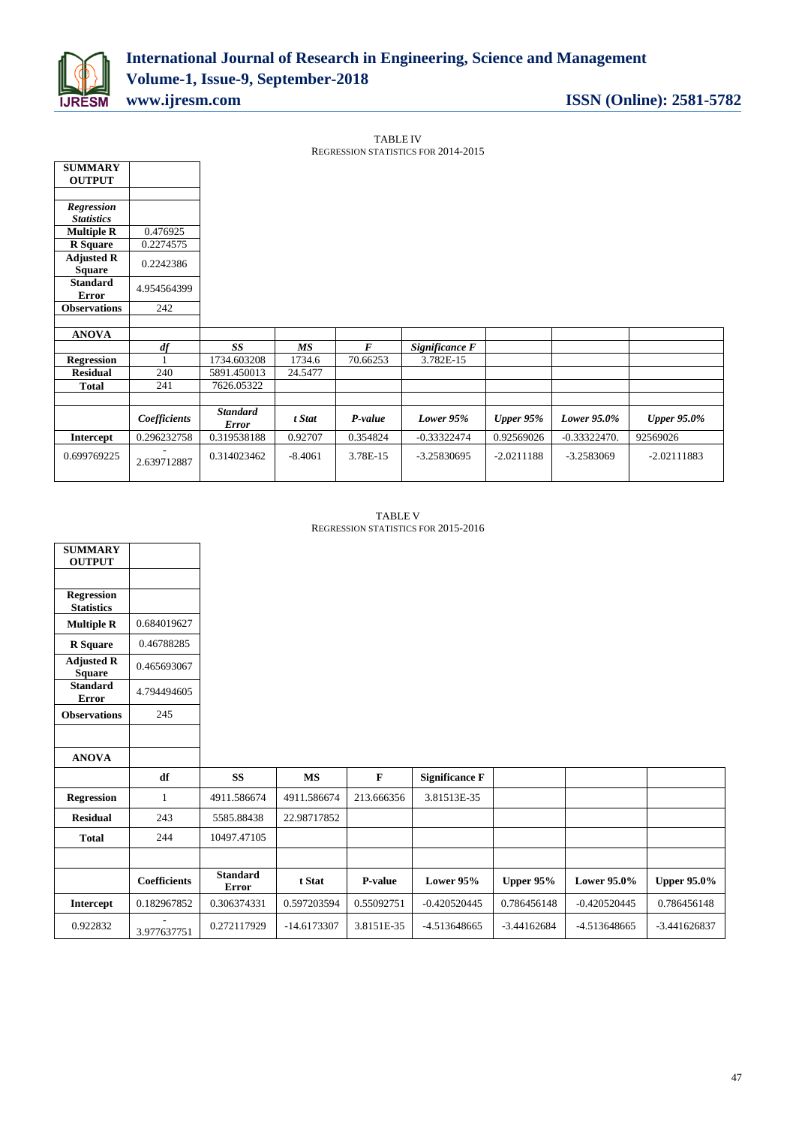

TABLE IV

|                                    |              |                                 |         |          | REGRESSION STATISTICS FOR 2014-2015 |            |                |                    |
|------------------------------------|--------------|---------------------------------|---------|----------|-------------------------------------|------------|----------------|--------------------|
| <b>SUMMARY</b>                     |              |                                 |         |          |                                     |            |                |                    |
| <b>OUTPUT</b>                      |              |                                 |         |          |                                     |            |                |                    |
|                                    |              |                                 |         |          |                                     |            |                |                    |
| Regression                         |              |                                 |         |          |                                     |            |                |                    |
| <b>Statistics</b>                  |              |                                 |         |          |                                     |            |                |                    |
| <b>Multiple R</b>                  | 0.476925     |                                 |         |          |                                     |            |                |                    |
| <b>R</b> Square                    | 0.2274575    |                                 |         |          |                                     |            |                |                    |
| <b>Adjusted R</b><br><b>Square</b> | 0.2242386    |                                 |         |          |                                     |            |                |                    |
| Standard<br><b>Error</b>           | 4.954564399  |                                 |         |          |                                     |            |                |                    |
| <b>Observations</b>                | 242          |                                 |         |          |                                     |            |                |                    |
|                                    |              |                                 |         |          |                                     |            |                |                    |
| <b>ANOVA</b>                       |              |                                 |         |          |                                     |            |                |                    |
|                                    | df           | SS                              | MS      | $\bm{F}$ | Significance F                      |            |                |                    |
| <b>Regression</b>                  |              | 1734.603208                     | 1734.6  | 70.66253 | 3.782E-15                           |            |                |                    |
| <b>Residual</b>                    | 240          | 5891.450013                     | 24.5477 |          |                                     |            |                |                    |
| <b>Total</b>                       | 241          | 7626.05322                      |         |          |                                     |            |                |                    |
|                                    |              |                                 |         |          |                                     |            |                |                    |
|                                    | Coefficients | <b>Standard</b><br><b>Error</b> | t Stat  | P-value  | Lower 95%                           | Upper 95%  | Lower 95.0%    | <b>Upper 95.0%</b> |
|                                    |              |                                 |         |          |                                     |            |                |                    |
| Intercept                          | 0.296232758  | 0.319538188                     | 0.92707 | 0.354824 | $-0.33322474$                       | 0.92569026 | $-0.33322470.$ | 92569026           |

TABLE V REGRESSION STATISTICS FOR 2015-2016

| <b>SUMMARY</b><br><b>OUTPUT</b>        |                     |                                 |             |            |                       |                  |                    |                    |
|----------------------------------------|---------------------|---------------------------------|-------------|------------|-----------------------|------------------|--------------------|--------------------|
|                                        |                     |                                 |             |            |                       |                  |                    |                    |
| <b>Regression</b><br><b>Statistics</b> |                     |                                 |             |            |                       |                  |                    |                    |
| <b>Multiple R</b>                      | 0.684019627         |                                 |             |            |                       |                  |                    |                    |
| <b>R</b> Square                        | 0.46788285          |                                 |             |            |                       |                  |                    |                    |
| <b>Adjusted R</b><br><b>Square</b>     | 0.465693067         |                                 |             |            |                       |                  |                    |                    |
| <b>Standard</b><br><b>Error</b>        | 4.794494605         |                                 |             |            |                       |                  |                    |                    |
| <b>Observations</b>                    | 245                 |                                 |             |            |                       |                  |                    |                    |
|                                        |                     |                                 |             |            |                       |                  |                    |                    |
| <b>ANOVA</b>                           |                     |                                 |             |            |                       |                  |                    |                    |
|                                        | df                  | <b>SS</b>                       | <b>MS</b>   | F          | <b>Significance F</b> |                  |                    |                    |
| <b>Regression</b>                      | $\mathbf{1}$        | 4911.586674                     | 4911.586674 | 213.666356 | 3.81513E-35           |                  |                    |                    |
| <b>Residual</b>                        | 243                 | 5585.88438                      | 22.98717852 |            |                       |                  |                    |                    |
| <b>Total</b>                           | 244                 | 10497.47105                     |             |            |                       |                  |                    |                    |
|                                        |                     |                                 |             |            |                       |                  |                    |                    |
|                                        | <b>Coefficients</b> | <b>Standard</b><br><b>Error</b> | t Stat      | P-value    | Lower 95%             | <b>Upper 95%</b> | <b>Lower 95.0%</b> | <b>Upper 95.0%</b> |
| Intercept                              | 0.182967852         | 0.306374331                     | 0.597203594 | 0.55092751 | $-0.420520445$        | 0.786456148      | $-0.420520445$     | 0.786456148        |
| 0.922832                               | 3.977637751         | 0.272117929                     | -14.6173307 | 3.8151E-35 | -4.513648665          | $-3.44162684$    | -4.513648665       | $-3.441626837$     |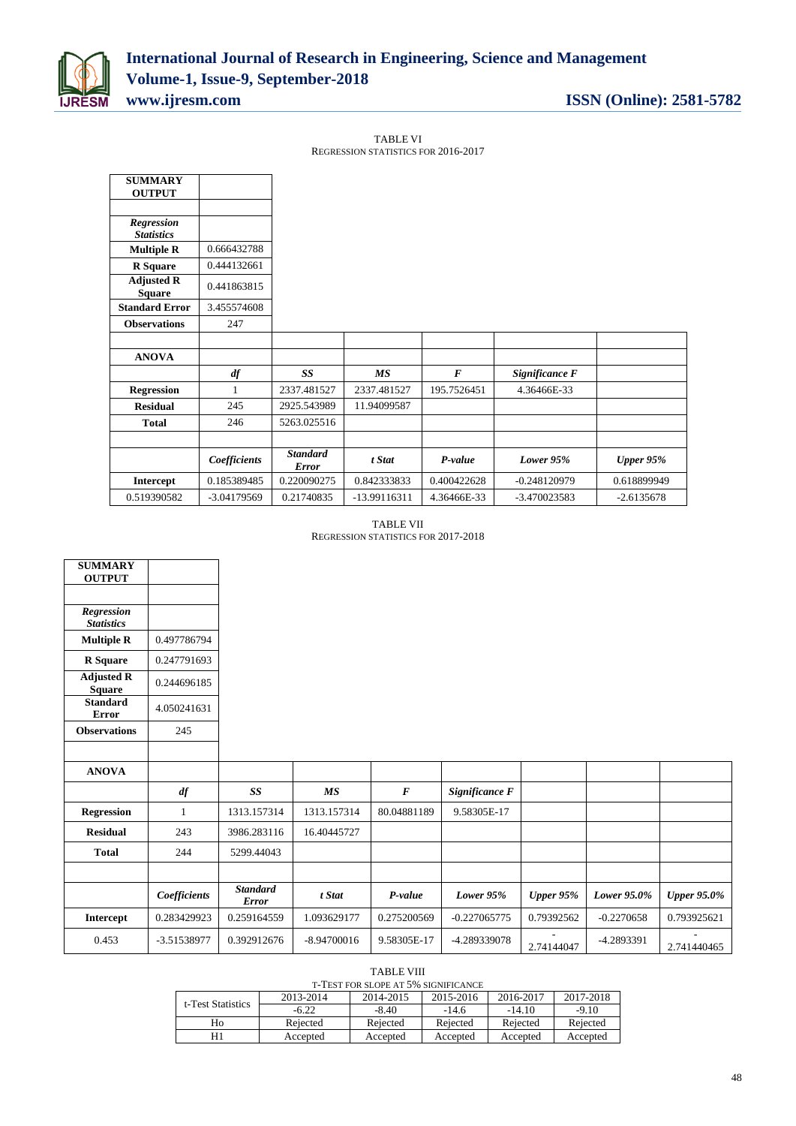

TABLE VI REGRESSION STATISTICS FOR 2016-2017

| <b>SUMMARY</b><br><b>OUTPUT</b>    |              |                                 |              |                  |                |              |
|------------------------------------|--------------|---------------------------------|--------------|------------------|----------------|--------------|
|                                    |              |                                 |              |                  |                |              |
| Regression<br><b>Statistics</b>    |              |                                 |              |                  |                |              |
| <b>Multiple R</b>                  | 0.666432788  |                                 |              |                  |                |              |
| <b>R</b> Square                    | 0.444132661  |                                 |              |                  |                |              |
| <b>Adjusted R</b><br><b>Square</b> | 0.441863815  |                                 |              |                  |                |              |
| <b>Standard Error</b>              | 3.455574608  |                                 |              |                  |                |              |
| <b>Observations</b>                | 247          |                                 |              |                  |                |              |
|                                    |              |                                 |              |                  |                |              |
| <b>ANOVA</b>                       |              |                                 |              |                  |                |              |
|                                    | df           | SS                              | <b>MS</b>    | $\boldsymbol{F}$ | Significance F |              |
| <b>Regression</b>                  | 1            | 2337.481527                     | 2337.481527  | 195.7526451      | 4.36466E-33    |              |
| <b>Residual</b>                    | 245          | 2925.543989                     | 11.94099587  |                  |                |              |
| Total                              | 246          | 5263.025516                     |              |                  |                |              |
|                                    |              |                                 |              |                  |                |              |
|                                    | Coefficients | <b>Standard</b><br><b>Error</b> | t Stat       | P-value          | Lower $95%$    | Upper $95%$  |
| Intercept                          | 0.185389485  | 0.220090275                     | 0.842333833  | 0.400422628      | $-0.248120979$ | 0.618899949  |
| 0.519390582                        | -3.04179569  | 0.21740835                      | -13.99116311 | 4.36466E-33      | $-3.470023583$ | $-2.6135678$ |

TABLE VII REGRESSION STATISTICS FOR 2017-2018

| <b>SUMMARY</b><br><b>OUTPUT</b>    |              |                                 |                 |                  |                |            |              |                    |
|------------------------------------|--------------|---------------------------------|-----------------|------------------|----------------|------------|--------------|--------------------|
|                                    |              |                                 |                 |                  |                |            |              |                    |
| Regression<br><b>Statistics</b>    |              |                                 |                 |                  |                |            |              |                    |
| <b>Multiple R</b>                  | 0.497786794  |                                 |                 |                  |                |            |              |                    |
| <b>R</b> Square                    | 0.247791693  |                                 |                 |                  |                |            |              |                    |
| <b>Adjusted R</b><br><b>Square</b> | 0.244696185  |                                 |                 |                  |                |            |              |                    |
| <b>Standard</b><br><b>Error</b>    | 4.050241631  |                                 |                 |                  |                |            |              |                    |
| <b>Observations</b>                | 245          |                                 |                 |                  |                |            |              |                    |
|                                    |              |                                 |                 |                  |                |            |              |                    |
| <b>ANOVA</b>                       |              |                                 |                 |                  |                |            |              |                    |
|                                    | df           | SS                              | $\overline{MS}$ | $\boldsymbol{F}$ | Significance F |            |              |                    |
| <b>Regression</b>                  | 1            | 1313.157314                     | 1313.157314     | 80.04881189      | 9.58305E-17    |            |              |                    |
| <b>Residual</b>                    | 243          | 3986.283116                     | 16.40445727     |                  |                |            |              |                    |
| <b>Total</b>                       | 244          | 5299.44043                      |                 |                  |                |            |              |                    |
|                                    |              |                                 |                 |                  |                |            |              |                    |
|                                    | Coefficients | <b>Standard</b><br><b>Error</b> | t Stat          | P-value          | Lower 95%      | Upper 95%  | Lower 95.0%  | <b>Upper 95.0%</b> |
| Intercept                          | 0.283429923  | 0.259164559                     | 1.093629177     | 0.275200569      | $-0.227065775$ | 0.79392562 | $-0.2270658$ | 0.793925621        |
| 0.453                              | -3.51538977  | 0.392912676                     | $-8.94700016$   | 9.58305E-17      | -4.289339078   | 2.74144047 | -4.2893391   | 2.741440465        |

#### TABLE VIII T-TEST FOR SLOPE AT 5% SIGNIFICANCE

| t-Test Statistics | 2013-2014 | 2014-2015 | 2015-2016 | 2016-2017 | 2017-2018 |  |  |  |  |
|-------------------|-----------|-----------|-----------|-----------|-----------|--|--|--|--|
|                   | $-6.22$   | $-8.40$   | $-14.6$   | $-14.10$  | $-9.10$   |  |  |  |  |
| Ho                | Rejected  | Rejected  | Rejected  | Rejected  | Rejected  |  |  |  |  |
|                   | Accepted  | Accepted  | Accepted  | Accepted  | Accepted  |  |  |  |  |